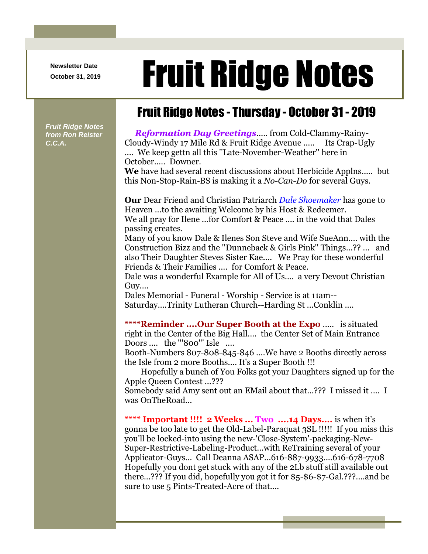**Newsletter Date**

# Newsletter Date **Fruit Ridge Notes**

# Fruit Ridge Notes - Thursday - October 31 - 2019

*Fruit Ridge Notes from Ron Reister C.C.A.*

*Reformation Day Greetings*..... from Cold-Clammy-Rainy-Cloudy-Windy 17 Mile Rd & Fruit Ridge Avenue ..... Its Crap-Ugly .... We keep gettn all this ''Late-November-Weather'' here in October..... Downer.

**We** have had several recent discussions about Herbicide Applns..... but this Non-Stop-Rain-BS is making it a *No-Can-Do* for several Guys.

**Our** Dear Friend and Christian Patriarch *Dale Shoemaker* has gone to Heaven ...to the awaiting Welcome by his Host & Redeemer. We all pray for Ilene ...for Comfort & Peace .... in the void that Dales passing creates.

Many of you know Dale & Ilenes Son Steve and Wife SueAnn.... with the Construction Bizz and the ''Dunneback & Girls Pink'' Things...?? ... and also Their Daughter Steves Sister Kae.... We Pray for these wonderful Friends & Their Families .... for Comfort & Peace.

Dale was a wonderful Example for All of Us.... a very Devout Christian Guy....

Dales Memorial - Funeral - Worship - Service is at 11am-- Saturday....Trinity Lutheran Church--Harding St ...Conklin ....

**\*\*\*\*Reminder ....Our Super Booth at the Expo** ..... is situated right in the Center of the Big Hall.... the Center Set of Main Entrance Doors .... the "'800"' Isle ....

Booth-Numbers 807-808-845-846 ....We have 2 Booths directly across the Isle from 2 more Booths.... It's a Super Booth !!!

Hopefully a bunch of You Folks got your Daughters signed up for the Apple Queen Contest ...???

Somebody said Amy sent out an EMail about that...??? I missed it .... I was OnTheRoad...

**\*\*\*\* Important !!!! 2 Weeks ... Two ....14 Days....** is when it's gonna be too late to get the Old-Label-Paraquat 3SL !!!!! If you miss this you'll be locked-into using the new-'Close-System'-packaging-New-Super-Restrictive-Labeling-Product...with ReTraining several of your Applicator-Guys... Call Deanna ASAP...616-887-9933....616-678-7708 Hopefully you dont get stuck with any of the 2Lb stuff still available out there...??? If you did, hopefully you got it for \$5-\$6-\$7-Gal.???....and be sure to use 5 Pints-Treated-Acre of that....